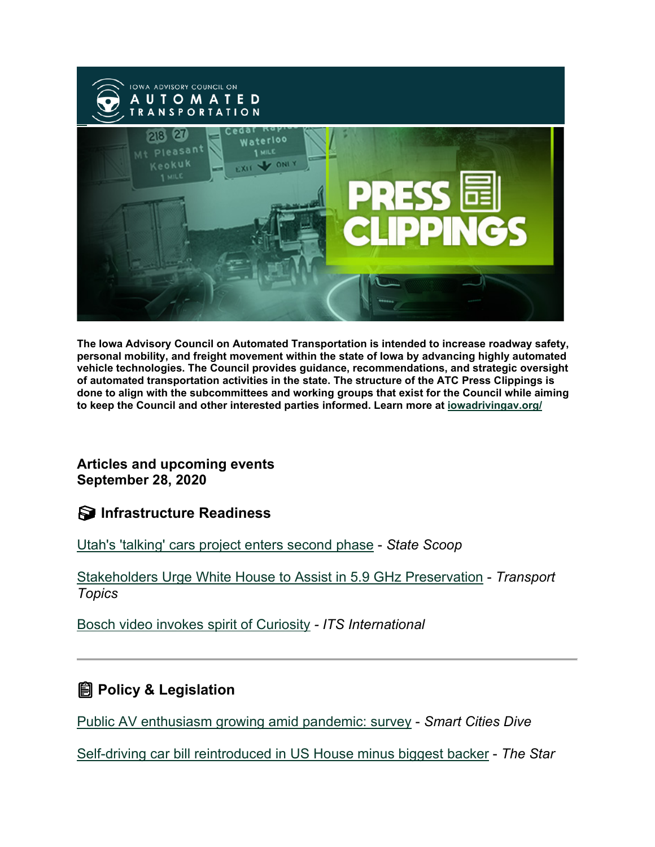

**The Iowa Advisory Council on Automated Transportation is intended to increase roadway safety, personal mobility, and freight movement within the state of Iowa by advancing highly automated vehicle technologies. The Council provides guidance, recommendations, and strategic oversight of automated transportation activities in the state. The structure of the ATC Press Clippings is done to align with the subcommittees and working groups that exist for the Council while aiming to keep the Council and other interested parties informed. Learn more at [iowadrivingav.org/](https://iowadrivingav.org/?utm_medium=email&utm_source=govdelivery)**

**Articles and upcoming events September 28, 2020**

**S** Infrastructure Readiness

[Utah's 'talking' cars project enters second phase](https://statescoop.com/utahs-talking-cars-project-enters-second-phase/?utm_medium=email&utm_source=govdelivery) - *State Scoop*

[Stakeholders Urge White House to Assist in 5.9 GHz Preservation](https://www.ttnews.com/articles/stakeholders-urge-white-house-assist-59-ghz-preservation?utm_medium=email&utm_source=govdelivery) - *Transport Topics*

[Bosch video invokes spirit of Curiosity](https://www.itsinternational.com/its4/news/bosch-video-invokes-spirit-curiosity?utm_medium=email&utm_source=govdelivery) *- ITS International*

### **Policy & Legislation**

[Public AV enthusiasm growing amid pandemic: survey](https://www.smartcitiesdive.com/news/public-av-enthusiasm-growing-amid-pandemic-survey/585848/?utm_campaign=Issue%3A+2020-09-25+Smart+Cities+Dive+Newsletter+%5Bissue%3A29898%5D&utm_medium=email&utm_source=govdelivery&utm_term=Smart+Cities+Dive) - *Smart Cities Dive*

[Self-driving car bill reintroduced in US House minus biggest backer](https://www.thestar.com.my/tech/tech-news/2020/09/24/self-driving-car-bill-reintroduced-in-us-house-minus-biggest-backer?utm_medium=email&utm_source=govdelivery) - *The Star*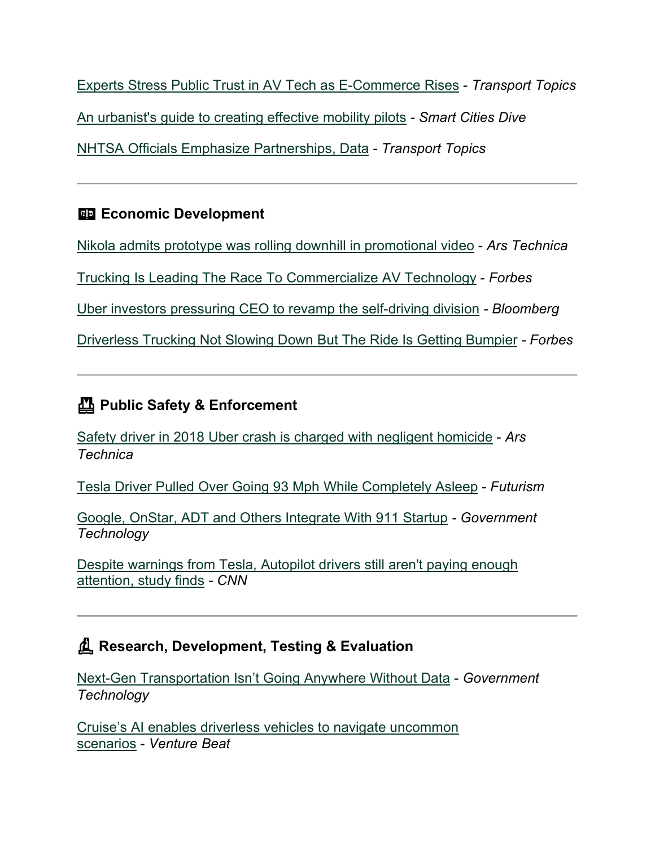[Experts Stress Public Trust in AV Tech as E-Commerce Rises](https://www.ttnews.com/articles/experts-stress-public-trust-av-tech-e-commerce-rises?utm_medium=email&utm_source=govdelivery) - *Transport Topics* [An urbanist's guide to creating effective mobility pilots](https://www.smartcitiesdive.com/news/an-urbanists-guide-to-creating-effective-mobility-pilots/585189/?utm_medium=email&utm_source=govdelivery) *- Smart Cities Dive* [NHTSA Officials Emphasize Partnerships, Data](https://www.ttnews.com/articles/nhtsa-officials-emphasize-partnerships-data?utm_medium=email&utm_source=govdelivery) *- Transport Topics*

#### **Example 2** Economic Development

[Nikola admits prototype was rolling downhill in promotional video](https://arstechnica.com/cars/2020/09/nikola-admits-prototype-was-rolling-downhill-in-promotional-video/?utm_medium=email&utm_source=govdelivery) - *Ars Technica*

[Trucking Is Leading The Race To Commercialize AV Technology](https://www.forbes.com/sites/scottcorwin/2020/09/15/trucking-is-leading-the-race-to-commercialize-av-technology/?utm_medium=email&utm_source=govdelivery#64db7c7432c9) - *Forbes*

[Uber investors pressuring CEO to revamp the self-driving division](https://www.bnnbloomberg.ca/uber-investors-are-pressuring-ceo-to-revamp-the-self-driving-division-1.1496940?utm_medium=email&utm_source=govdelivery) *- Bloomberg*

[Driverless Trucking Not Slowing Down But The Ride Is Getting Bumpier](https://www.forbes.com/sites/richardbishop1/2020/09/20/driverless-trucking-not-slowing-down-but-the-ride-is-getting-bumpier/?utm_medium=email&utm_source=govdelivery#45d498891aa8) *- Forbes*

## **Public Safety & Enforcement**

[Safety driver in 2018 Uber crash is charged with negligent homicide](https://arstechnica.com/cars/2020/09/arizona-prosecutes-uber-safety-driver-but-not-uber-for-fatal-2018-crash/?utm_medium=email&utm_source=govdelivery) - *Ars Technica*

[Tesla Driver Pulled Over Going 93 Mph While Completely Asleep](https://futurism.com/the-byte/tesla-driver-pulled-over-asleep?utm_medium=email&utm_source=govdelivery) - *Futurism*

[Google, OnStar, ADT and Others Integrate With 911 Startup](https://www.govtech.com/biz/Google-OnStar-ADT-and-Others-Integrate-With-911-Startup.html?utm_medium=email&utm_source=govdelivery) *- Government Technology*

[Despite warnings from Tesla, Autopilot drivers still aren't paying enough](https://us.cnn.com/2020/09/24/cars/tesla-autopilot-study/index.html?utm_medium=email&utm_source=govdelivery)  [attention, study finds](https://us.cnn.com/2020/09/24/cars/tesla-autopilot-study/index.html?utm_medium=email&utm_source=govdelivery) *- CNN*

### **Research, Development, Testing & Evaluation**

[Next-Gen Transportation Isn't Going Anywhere Without Data](https://www.govtech.com/fs/data/Next-Gen-Transportation-Isnt-Going-Anywhere-Without-Data.html?utm_medium=email&utm_source=govdelivery) - *Government Technology*

[Cruise's AI enables driverless vehicles to navigate uncommon](https://venturebeat.com/2020/09/10/cruises-ai-enables-driverless-vehicles-to-navigate-uncommon-scenarios/?utm_medium=email&utm_source=govdelivery)  [scenarios](https://venturebeat.com/2020/09/10/cruises-ai-enables-driverless-vehicles-to-navigate-uncommon-scenarios/?utm_medium=email&utm_source=govdelivery) - *Venture Beat*